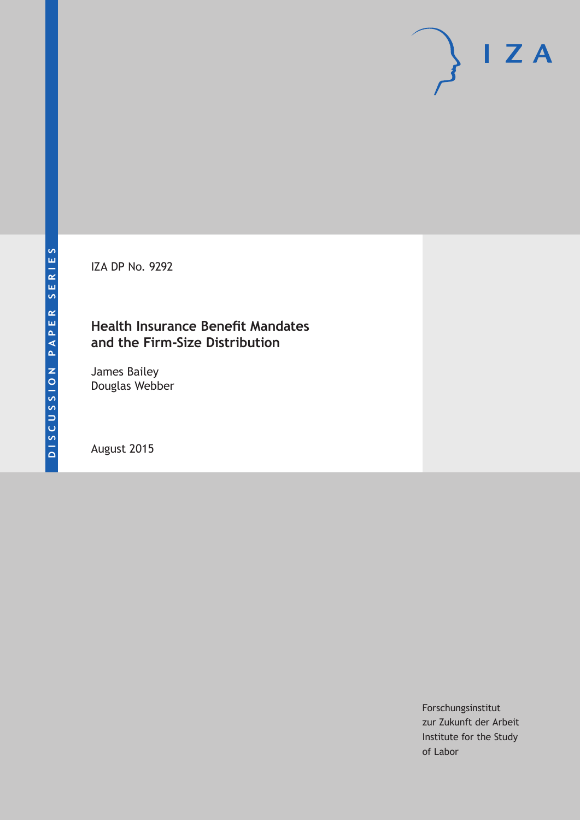IZA DP No. 9292

## **Health Insurance Benefit Mandates and the Firm-Size Distribution**

James Bailey Douglas Webber

August 2015

Forschungsinstitut zur Zukunft der Arbeit Institute for the Study of Labor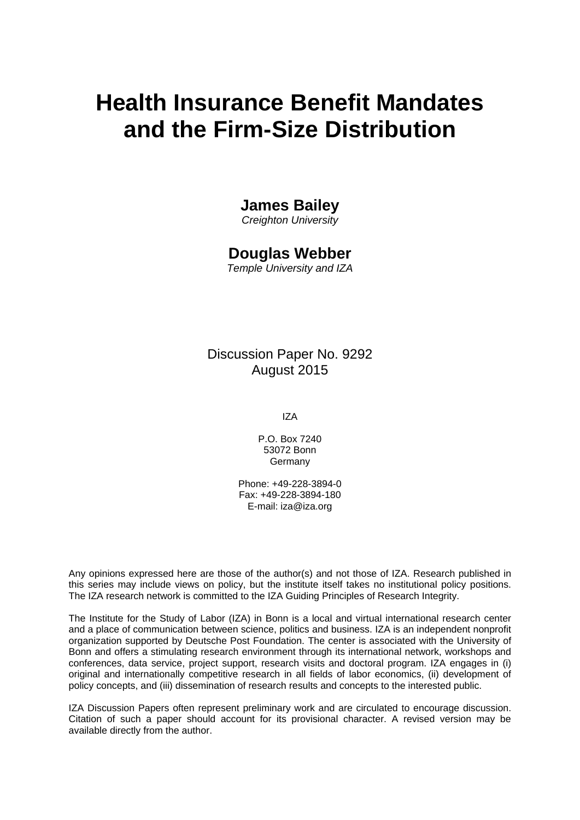# **Health Insurance Benefit Mandates and the Firm-Size Distribution**

### **James Bailey**

*Creighton University* 

### **Douglas Webber**

*Temple University and IZA* 

Discussion Paper No. 9292 August 2015

IZA

P.O. Box 7240 53072 Bonn Germany

Phone: +49-228-3894-0 Fax: +49-228-3894-180 E-mail: iza@iza.org

Any opinions expressed here are those of the author(s) and not those of IZA. Research published in this series may include views on policy, but the institute itself takes no institutional policy positions. The IZA research network is committed to the IZA Guiding Principles of Research Integrity.

The Institute for the Study of Labor (IZA) in Bonn is a local and virtual international research center and a place of communication between science, politics and business. IZA is an independent nonprofit organization supported by Deutsche Post Foundation. The center is associated with the University of Bonn and offers a stimulating research environment through its international network, workshops and conferences, data service, project support, research visits and doctoral program. IZA engages in (i) original and internationally competitive research in all fields of labor economics, (ii) development of policy concepts, and (iii) dissemination of research results and concepts to the interested public.

IZA Discussion Papers often represent preliminary work and are circulated to encourage discussion. Citation of such a paper should account for its provisional character. A revised version may be available directly from the author.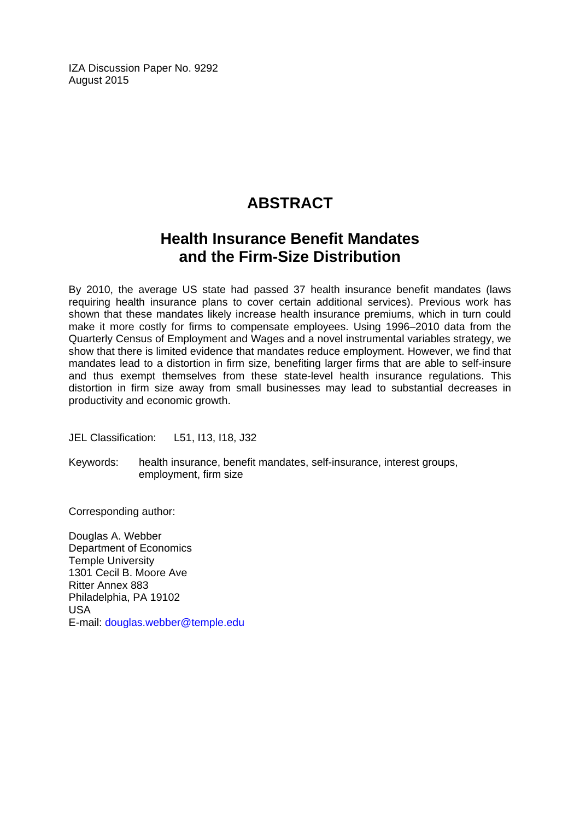IZA Discussion Paper No. 9292 August 2015

# **ABSTRACT**

# **Health Insurance Benefit Mandates and the Firm-Size Distribution**

By 2010, the average US state had passed 37 health insurance benefit mandates (laws requiring health insurance plans to cover certain additional services). Previous work has shown that these mandates likely increase health insurance premiums, which in turn could make it more costly for firms to compensate employees. Using 1996–2010 data from the Quarterly Census of Employment and Wages and a novel instrumental variables strategy, we show that there is limited evidence that mandates reduce employment. However, we find that mandates lead to a distortion in firm size, benefiting larger firms that are able to self-insure and thus exempt themselves from these state-level health insurance regulations. This distortion in firm size away from small businesses may lead to substantial decreases in productivity and economic growth.

JEL Classification: L51, I13, I18, J32

Keywords: health insurance, benefit mandates, self-insurance, interest groups, employment, firm size

Corresponding author:

Douglas A. Webber Department of Economics Temple University 1301 Cecil B. Moore Ave Ritter Annex 883 Philadelphia, PA 19102 USA E-mail: douglas.webber@temple.edu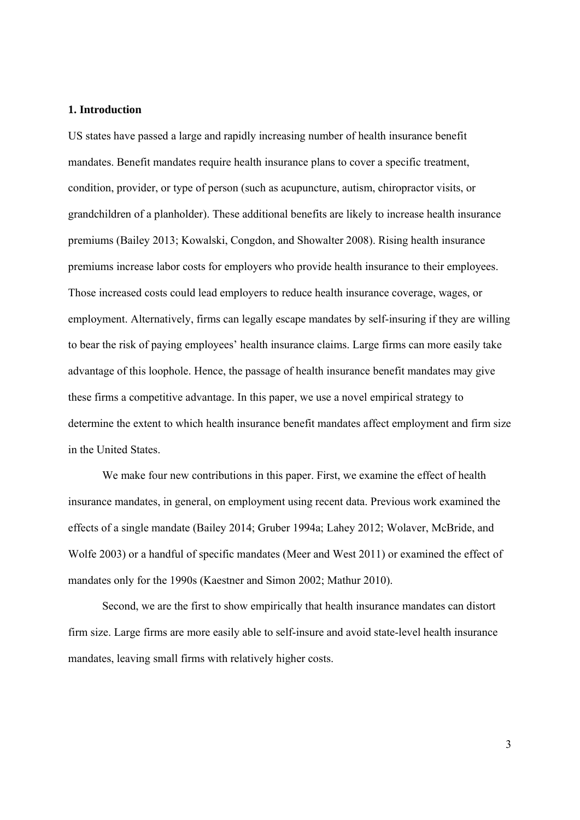#### **1. Introduction**

US states have passed a large and rapidly increasing number of health insurance benefit mandates. Benefit mandates require health insurance plans to cover a specific treatment, condition, provider, or type of person (such as acupuncture, autism, chiropractor visits, or grandchildren of a planholder). These additional benefits are likely to increase health insurance premiums (Bailey 2013; Kowalski, Congdon, and Showalter 2008). Rising health insurance premiums increase labor costs for employers who provide health insurance to their employees. Those increased costs could lead employers to reduce health insurance coverage, wages, or employment. Alternatively, firms can legally escape mandates by self-insuring if they are willing to bear the risk of paying employees' health insurance claims. Large firms can more easily take advantage of this loophole. Hence, the passage of health insurance benefit mandates may give these firms a competitive advantage. In this paper, we use a novel empirical strategy to determine the extent to which health insurance benefit mandates affect employment and firm size in the United States.

We make four new contributions in this paper. First, we examine the effect of health insurance mandates, in general, on employment using recent data. Previous work examined the effects of a single mandate (Bailey 2014; Gruber 1994a; Lahey 2012; Wolaver, McBride, and Wolfe 2003) or a handful of specific mandates (Meer and West 2011) or examined the effect of mandates only for the 1990s (Kaestner and Simon 2002; Mathur 2010).

Second, we are the first to show empirically that health insurance mandates can distort firm size. Large firms are more easily able to self-insure and avoid state-level health insurance mandates, leaving small firms with relatively higher costs.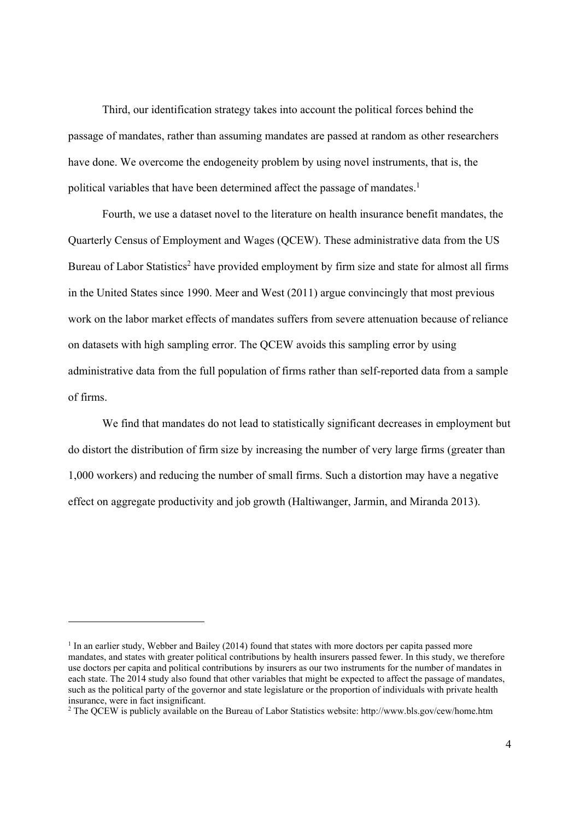Third, our identification strategy takes into account the political forces behind the passage of mandates, rather than assuming mandates are passed at random as other researchers have done. We overcome the endogeneity problem by using novel instruments, that is, the political variables that have been determined affect the passage of mandates.<sup>1</sup>

Fourth, we use a dataset novel to the literature on health insurance benefit mandates, the Quarterly Census of Employment and Wages (QCEW). These administrative data from the US Bureau of Labor Statistics<sup>2</sup> have provided employment by firm size and state for almost all firms in the United States since 1990. Meer and West (2011) argue convincingly that most previous work on the labor market effects of mandates suffers from severe attenuation because of reliance on datasets with high sampling error. The QCEW avoids this sampling error by using administrative data from the full population of firms rather than self-reported data from a sample of firms.

We find that mandates do not lead to statistically significant decreases in employment but do distort the distribution of firm size by increasing the number of very large firms (greater than 1,000 workers) and reducing the number of small firms. Such a distortion may have a negative effect on aggregate productivity and job growth (Haltiwanger, Jarmin, and Miranda 2013).

<sup>&</sup>lt;sup>1</sup> In an earlier study, Webber and Bailey (2014) found that states with more doctors per capita passed more mandates, and states with greater political contributions by health insurers passed fewer. In this study, we therefore use doctors per capita and political contributions by insurers as our two instruments for the number of mandates in each state. The 2014 study also found that other variables that might be expected to affect the passage of mandates, such as the political party of the governor and state legislature or the proportion of individuals with private health insurance, were in fact insignificant.

<sup>2</sup> The QCEW is publicly available on the Bureau of Labor Statistics website: http://www.bls.gov/cew/home.htm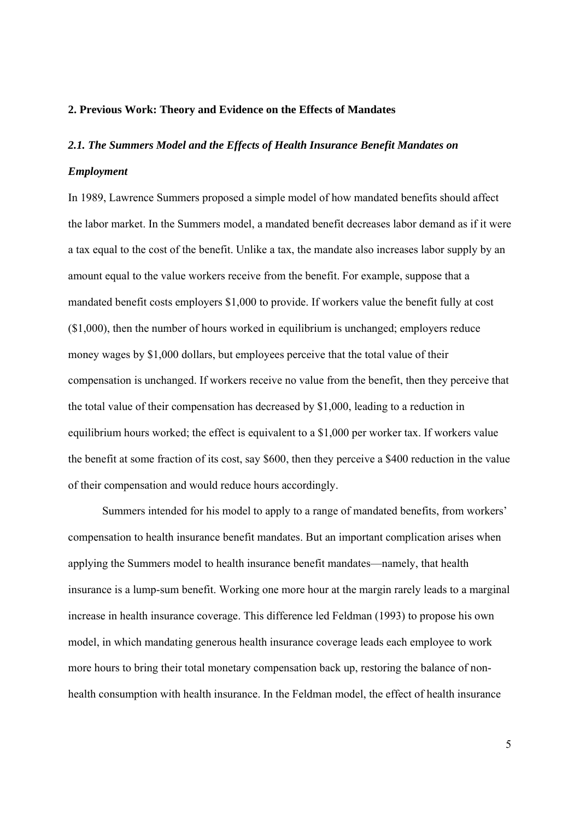#### **2. Previous Work: Theory and Evidence on the Effects of Mandates**

# *2.1. The Summers Model and the Effects of Health Insurance Benefit Mandates on Employment*

In 1989, Lawrence Summers proposed a simple model of how mandated benefits should affect the labor market. In the Summers model, a mandated benefit decreases labor demand as if it were a tax equal to the cost of the benefit. Unlike a tax, the mandate also increases labor supply by an amount equal to the value workers receive from the benefit. For example, suppose that a mandated benefit costs employers \$1,000 to provide. If workers value the benefit fully at cost (\$1,000), then the number of hours worked in equilibrium is unchanged; employers reduce money wages by \$1,000 dollars, but employees perceive that the total value of their compensation is unchanged. If workers receive no value from the benefit, then they perceive that the total value of their compensation has decreased by \$1,000, leading to a reduction in equilibrium hours worked; the effect is equivalent to a \$1,000 per worker tax. If workers value the benefit at some fraction of its cost, say \$600, then they perceive a \$400 reduction in the value of their compensation and would reduce hours accordingly.

Summers intended for his model to apply to a range of mandated benefits, from workers' compensation to health insurance benefit mandates. But an important complication arises when applying the Summers model to health insurance benefit mandates—namely, that health insurance is a lump-sum benefit. Working one more hour at the margin rarely leads to a marginal increase in health insurance coverage. This difference led Feldman (1993) to propose his own model, in which mandating generous health insurance coverage leads each employee to work more hours to bring their total monetary compensation back up, restoring the balance of nonhealth consumption with health insurance. In the Feldman model, the effect of health insurance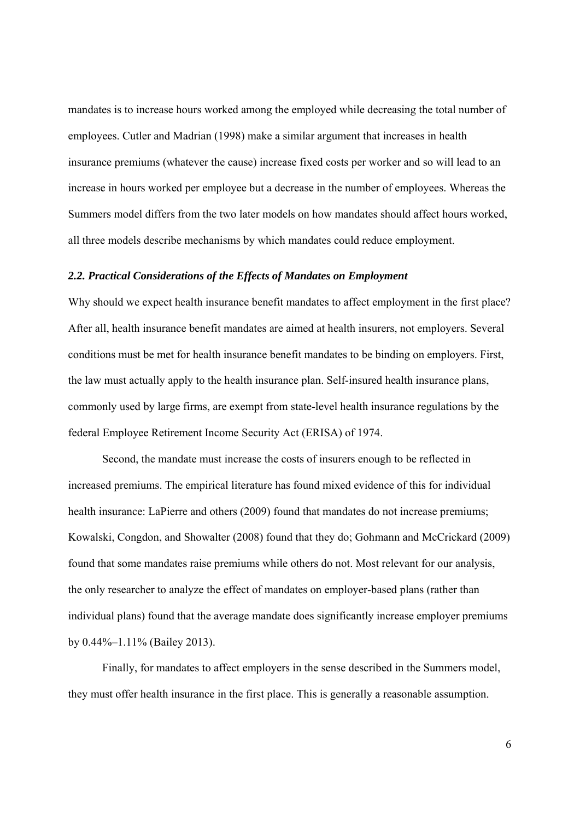mandates is to increase hours worked among the employed while decreasing the total number of employees. Cutler and Madrian (1998) make a similar argument that increases in health insurance premiums (whatever the cause) increase fixed costs per worker and so will lead to an increase in hours worked per employee but a decrease in the number of employees. Whereas the Summers model differs from the two later models on how mandates should affect hours worked, all three models describe mechanisms by which mandates could reduce employment.

#### *2.2. Practical Considerations of the Effects of Mandates on Employment*

Why should we expect health insurance benefit mandates to affect employment in the first place? After all, health insurance benefit mandates are aimed at health insurers, not employers. Several conditions must be met for health insurance benefit mandates to be binding on employers. First, the law must actually apply to the health insurance plan. Self-insured health insurance plans, commonly used by large firms, are exempt from state-level health insurance regulations by the federal Employee Retirement Income Security Act (ERISA) of 1974.

Second, the mandate must increase the costs of insurers enough to be reflected in increased premiums. The empirical literature has found mixed evidence of this for individual health insurance: LaPierre and others (2009) found that mandates do not increase premiums; Kowalski, Congdon, and Showalter (2008) found that they do; Gohmann and McCrickard (2009) found that some mandates raise premiums while others do not. Most relevant for our analysis, the only researcher to analyze the effect of mandates on employer-based plans (rather than individual plans) found that the average mandate does significantly increase employer premiums by 0.44%–1.11% (Bailey 2013).

Finally, for mandates to affect employers in the sense described in the Summers model, they must offer health insurance in the first place. This is generally a reasonable assumption.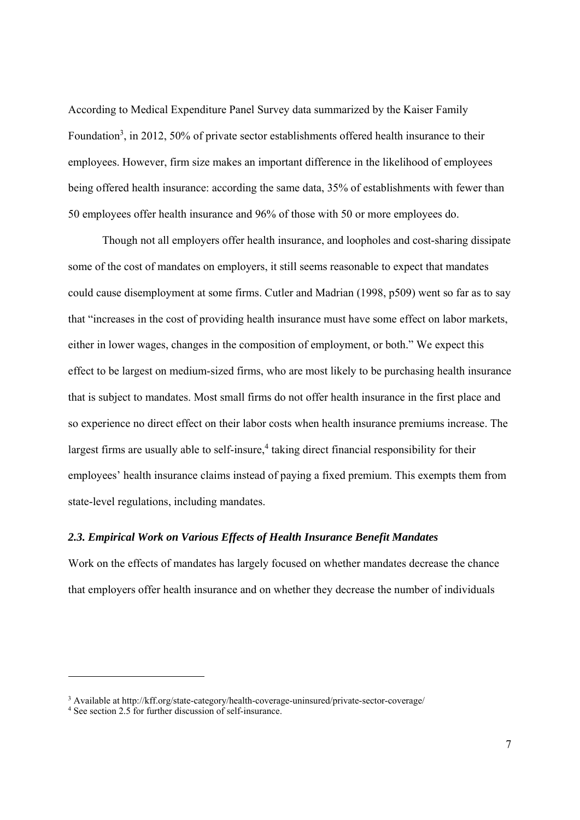According to Medical Expenditure Panel Survey data summarized by the Kaiser Family Foundation<sup>3</sup>, in 2012, 50% of private sector establishments offered health insurance to their employees. However, firm size makes an important difference in the likelihood of employees being offered health insurance: according the same data, 35% of establishments with fewer than 50 employees offer health insurance and 96% of those with 50 or more employees do.

Though not all employers offer health insurance, and loopholes and cost-sharing dissipate some of the cost of mandates on employers, it still seems reasonable to expect that mandates could cause disemployment at some firms. Cutler and Madrian (1998, p509) went so far as to say that "increases in the cost of providing health insurance must have some effect on labor markets, either in lower wages, changes in the composition of employment, or both." We expect this effect to be largest on medium-sized firms, who are most likely to be purchasing health insurance that is subject to mandates. Most small firms do not offer health insurance in the first place and so experience no direct effect on their labor costs when health insurance premiums increase. The largest firms are usually able to self-insure,<sup>4</sup> taking direct financial responsibility for their employees' health insurance claims instead of paying a fixed premium. This exempts them from state-level regulations, including mandates.

#### *2.3. Empirical Work on Various Effects of Health Insurance Benefit Mandates*

Work on the effects of mandates has largely focused on whether mandates decrease the chance that employers offer health insurance and on whether they decrease the number of individuals

<sup>&</sup>lt;sup>3</sup> Available at http://kff.org/state-category/health-coverage-uninsured/private-sector-coverage/

<sup>4</sup> See section 2.5 for further discussion of self-insurance.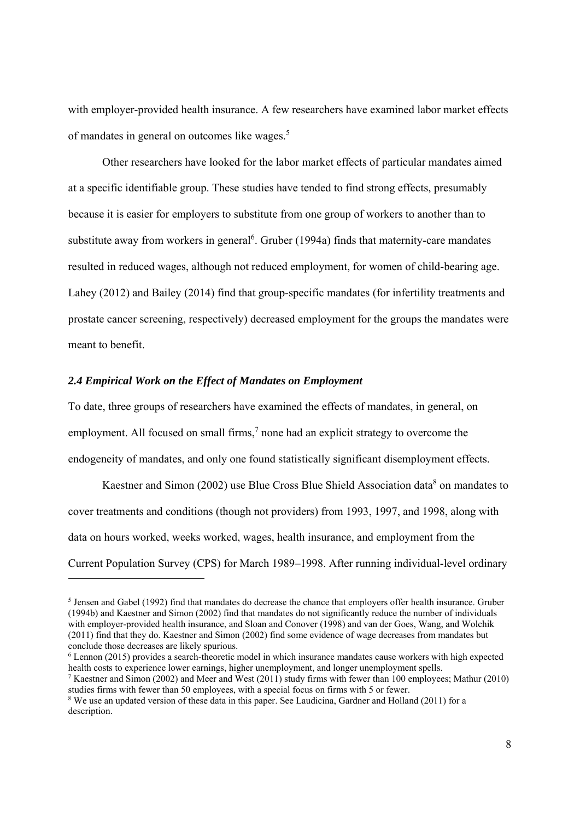with employer-provided health insurance. A few researchers have examined labor market effects of mandates in general on outcomes like wages.5

Other researchers have looked for the labor market effects of particular mandates aimed at a specific identifiable group. These studies have tended to find strong effects, presumably because it is easier for employers to substitute from one group of workers to another than to substitute away from workers in general<sup>6</sup>. Gruber (1994a) finds that maternity-care mandates resulted in reduced wages, although not reduced employment, for women of child-bearing age. Lahey (2012) and Bailey (2014) find that group-specific mandates (for infertility treatments and prostate cancer screening, respectively) decreased employment for the groups the mandates were meant to benefit.

#### *2.4 Empirical Work on the Effect of Mandates on Employment*

To date, three groups of researchers have examined the effects of mandates, in general, on employment. All focused on small firms, $<sup>7</sup>$  none had an explicit strategy to overcome the</sup> endogeneity of mandates, and only one found statistically significant disemployment effects.

Kaestner and Simon (2002) use Blue Cross Blue Shield Association data<sup>8</sup> on mandates to cover treatments and conditions (though not providers) from 1993, 1997, and 1998, along with data on hours worked, weeks worked, wages, health insurance, and employment from the Current Population Survey (CPS) for March 1989–1998. After running individual-level ordinary 1

<sup>&</sup>lt;sup>5</sup> Jensen and Gabel (1992) find that mandates do decrease the chance that employers offer health insurance. Gruber (1994b) and Kaestner and Simon (2002) find that mandates do not significantly reduce the number of individuals with employer-provided health insurance, and Sloan and Conover (1998) and van der Goes, Wang, and Wolchik (2011) find that they do. Kaestner and Simon (2002) find some evidence of wage decreases from mandates but conclude those decreases are likely spurious.

<sup>&</sup>lt;sup>6</sup> Lennon (2015) provides a search-theoretic model in which insurance mandates cause workers with high expected health costs to experience lower earnings, higher unemployment, and longer unemployment spells.

<sup>&</sup>lt;sup>7</sup> Kaestner and Simon (2002) and Meer and West (2011) study firms with fewer than 100 employees; Mathur (2010) studies firms with fewer than 50 employees, with a special focus on firms with 5 or fewer.

<sup>&</sup>lt;sup>8</sup> We use an updated version of these data in this paper. See Laudicina, Gardner and Holland (2011) for a description.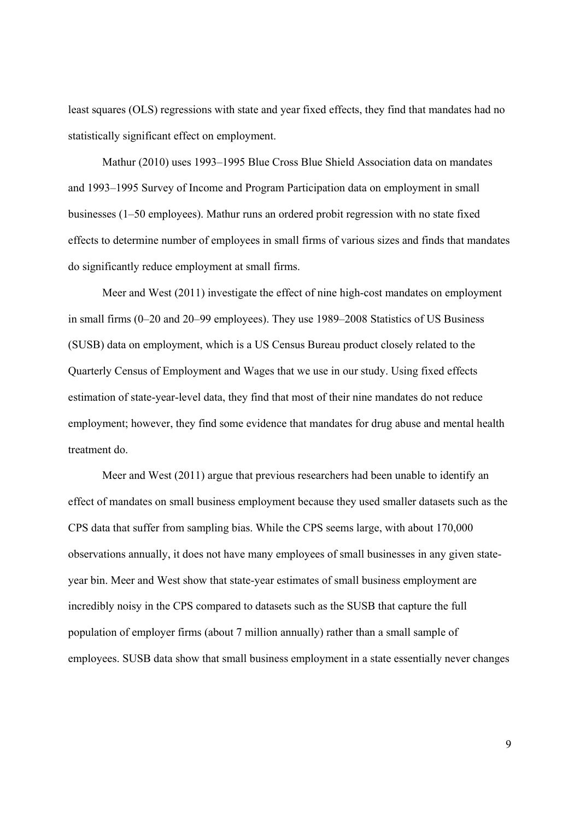least squares (OLS) regressions with state and year fixed effects, they find that mandates had no statistically significant effect on employment.

Mathur (2010) uses 1993–1995 Blue Cross Blue Shield Association data on mandates and 1993–1995 Survey of Income and Program Participation data on employment in small businesses (1–50 employees). Mathur runs an ordered probit regression with no state fixed effects to determine number of employees in small firms of various sizes and finds that mandates do significantly reduce employment at small firms.

Meer and West (2011) investigate the effect of nine high-cost mandates on employment in small firms (0–20 and 20–99 employees). They use 1989–2008 Statistics of US Business (SUSB) data on employment, which is a US Census Bureau product closely related to the Quarterly Census of Employment and Wages that we use in our study. Using fixed effects estimation of state-year-level data, they find that most of their nine mandates do not reduce employment; however, they find some evidence that mandates for drug abuse and mental health treatment do.

Meer and West (2011) argue that previous researchers had been unable to identify an effect of mandates on small business employment because they used smaller datasets such as the CPS data that suffer from sampling bias. While the CPS seems large, with about 170,000 observations annually, it does not have many employees of small businesses in any given stateyear bin. Meer and West show that state-year estimates of small business employment are incredibly noisy in the CPS compared to datasets such as the SUSB that capture the full population of employer firms (about 7 million annually) rather than a small sample of employees. SUSB data show that small business employment in a state essentially never changes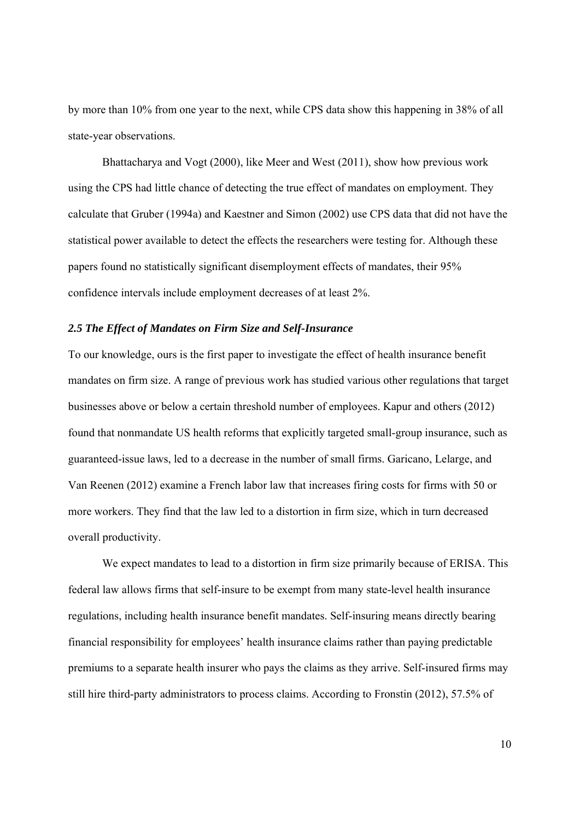by more than 10% from one year to the next, while CPS data show this happening in 38% of all state-year observations.

Bhattacharya and Vogt (2000), like Meer and West (2011), show how previous work using the CPS had little chance of detecting the true effect of mandates on employment. They calculate that Gruber (1994a) and Kaestner and Simon (2002) use CPS data that did not have the statistical power available to detect the effects the researchers were testing for. Although these papers found no statistically significant disemployment effects of mandates, their 95% confidence intervals include employment decreases of at least 2%.

#### *2.5 The Effect of Mandates on Firm Size and Self-Insurance*

To our knowledge, ours is the first paper to investigate the effect of health insurance benefit mandates on firm size. A range of previous work has studied various other regulations that target businesses above or below a certain threshold number of employees. Kapur and others (2012) found that nonmandate US health reforms that explicitly targeted small-group insurance, such as guaranteed-issue laws, led to a decrease in the number of small firms. Garicano, Lelarge, and Van Reenen (2012) examine a French labor law that increases firing costs for firms with 50 or more workers. They find that the law led to a distortion in firm size, which in turn decreased overall productivity.

We expect mandates to lead to a distortion in firm size primarily because of ERISA. This federal law allows firms that self-insure to be exempt from many state-level health insurance regulations, including health insurance benefit mandates. Self-insuring means directly bearing financial responsibility for employees' health insurance claims rather than paying predictable premiums to a separate health insurer who pays the claims as they arrive. Self-insured firms may still hire third-party administrators to process claims. According to Fronstin (2012), 57.5% of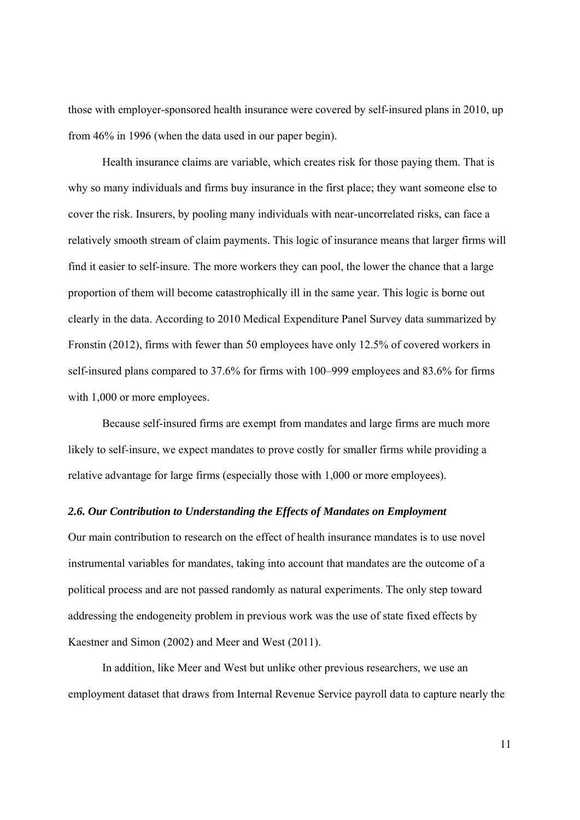those with employer-sponsored health insurance were covered by self-insured plans in 2010, up from 46% in 1996 (when the data used in our paper begin).

Health insurance claims are variable, which creates risk for those paying them. That is why so many individuals and firms buy insurance in the first place; they want someone else to cover the risk. Insurers, by pooling many individuals with near-uncorrelated risks, can face a relatively smooth stream of claim payments. This logic of insurance means that larger firms will find it easier to self-insure. The more workers they can pool, the lower the chance that a large proportion of them will become catastrophically ill in the same year. This logic is borne out clearly in the data. According to 2010 Medical Expenditure Panel Survey data summarized by Fronstin (2012), firms with fewer than 50 employees have only 12.5% of covered workers in self-insured plans compared to 37.6% for firms with 100–999 employees and 83.6% for firms with 1,000 or more employees.

Because self-insured firms are exempt from mandates and large firms are much more likely to self-insure, we expect mandates to prove costly for smaller firms while providing a relative advantage for large firms (especially those with 1,000 or more employees).

#### *2.6. Our Contribution to Understanding the Effects of Mandates on Employment*

Our main contribution to research on the effect of health insurance mandates is to use novel instrumental variables for mandates, taking into account that mandates are the outcome of a political process and are not passed randomly as natural experiments. The only step toward addressing the endogeneity problem in previous work was the use of state fixed effects by Kaestner and Simon (2002) and Meer and West (2011).

In addition, like Meer and West but unlike other previous researchers, we use an employment dataset that draws from Internal Revenue Service payroll data to capture nearly the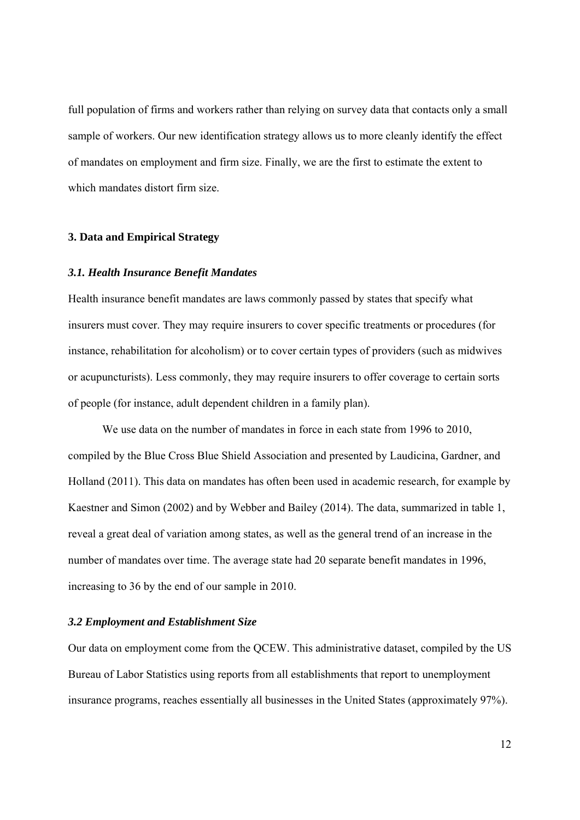full population of firms and workers rather than relying on survey data that contacts only a small sample of workers. Our new identification strategy allows us to more cleanly identify the effect of mandates on employment and firm size. Finally, we are the first to estimate the extent to which mandates distort firm size.

#### **3. Data and Empirical Strategy**

#### *3.1. Health Insurance Benefit Mandates*

Health insurance benefit mandates are laws commonly passed by states that specify what insurers must cover. They may require insurers to cover specific treatments or procedures (for instance, rehabilitation for alcoholism) or to cover certain types of providers (such as midwives or acupuncturists). Less commonly, they may require insurers to offer coverage to certain sorts of people (for instance, adult dependent children in a family plan).

We use data on the number of mandates in force in each state from 1996 to 2010, compiled by the Blue Cross Blue Shield Association and presented by Laudicina, Gardner, and Holland (2011). This data on mandates has often been used in academic research, for example by Kaestner and Simon (2002) and by Webber and Bailey (2014). The data, summarized in table 1, reveal a great deal of variation among states, as well as the general trend of an increase in the number of mandates over time. The average state had 20 separate benefit mandates in 1996, increasing to 36 by the end of our sample in 2010.

#### *3.2 Employment and Establishment Size*

Our data on employment come from the QCEW. This administrative dataset, compiled by the US Bureau of Labor Statistics using reports from all establishments that report to unemployment insurance programs, reaches essentially all businesses in the United States (approximately 97%).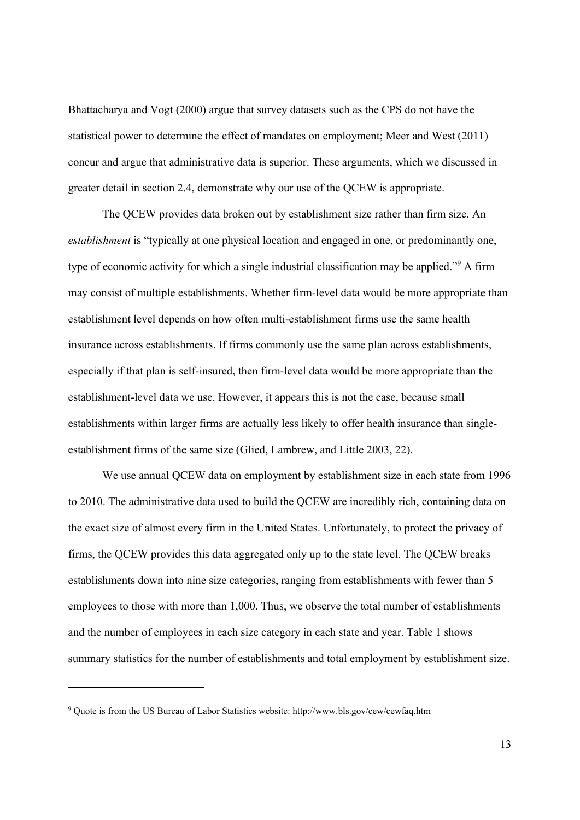Bhattacharya and Vogt (2000) argue that survey datasets such as the CPS do not have the statistical power to determine the effect of mandates on employment; Meer and West (2011) concur and argue that administrative data is superior. These arguments, which we discussed in greater detail in section 2.4, demonstrate why our use of the QCEW is appropriate.

The QCEW provides data broken out by establishment size rather than firm size. An *establishment* is "typically at one physical location and engaged in one, or predominantly one, type of economic activity for which a single industrial classification may be applied."<sup>9</sup> A firm may consist of multiple establishments. Whether firm-level data would be more appropriate than establishment level depends on how often multi-establishment firms use the same health insurance across establishments. If firms commonly use the same plan across establishments, especially if that plan is self-insured, then firm-level data would be more appropriate than the establishment-level data we use. However, it appears this is not the case, because small establishments within larger firms are actually less likely to offer health insurance than singleestablishment firms of the same size (Glied, Lambrew, and Little 2003, 22).

We use annual QCEW data on employment by establishment size in each state from 1996 to 2010. The administrative data used to build the QCEW are incredibly rich, containing data on the exact size of almost every firm in the United States. Unfortunately, to protect the privacy of firms, the QCEW provides this data aggregated only up to the state level. The QCEW breaks establishments down into nine size categories, ranging from establishments with fewer than 5 employees to those with more than 1,000. Thus, we observe the total number of establishments and the number of employees in each size category in each state and year. Table 1 shows summary statistics for the number of establishments and total employment by establishment size.

<sup>9</sup> Quote is from the US Bureau of Labor Statistics website: http://www.bls.gov/cew/cewfaq.htm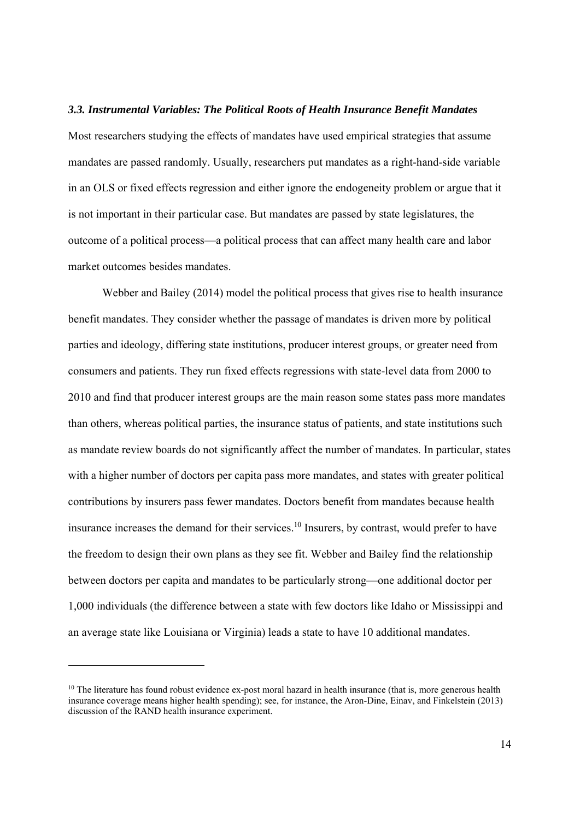#### *3.3. Instrumental Variables: The Political Roots of Health Insurance Benefit Mandates*

Most researchers studying the effects of mandates have used empirical strategies that assume mandates are passed randomly. Usually, researchers put mandates as a right-hand-side variable in an OLS or fixed effects regression and either ignore the endogeneity problem or argue that it is not important in their particular case. But mandates are passed by state legislatures, the outcome of a political process—a political process that can affect many health care and labor market outcomes besides mandates.

Webber and Bailey (2014) model the political process that gives rise to health insurance benefit mandates. They consider whether the passage of mandates is driven more by political parties and ideology, differing state institutions, producer interest groups, or greater need from consumers and patients. They run fixed effects regressions with state-level data from 2000 to 2010 and find that producer interest groups are the main reason some states pass more mandates than others, whereas political parties, the insurance status of patients, and state institutions such as mandate review boards do not significantly affect the number of mandates. In particular, states with a higher number of doctors per capita pass more mandates, and states with greater political contributions by insurers pass fewer mandates. Doctors benefit from mandates because health insurance increases the demand for their services.<sup>10</sup> Insurers, by contrast, would prefer to have the freedom to design their own plans as they see fit. Webber and Bailey find the relationship between doctors per capita and mandates to be particularly strong—one additional doctor per 1,000 individuals (the difference between a state with few doctors like Idaho or Mississippi and an average state like Louisiana or Virginia) leads a state to have 10 additional mandates.

<sup>&</sup>lt;sup>10</sup> The literature has found robust evidence ex-post moral hazard in health insurance (that is, more generous health insurance coverage means higher health spending); see, for instance, the Aron-Dine, Einav, and Finkelstein (2013) discussion of the RAND health insurance experiment.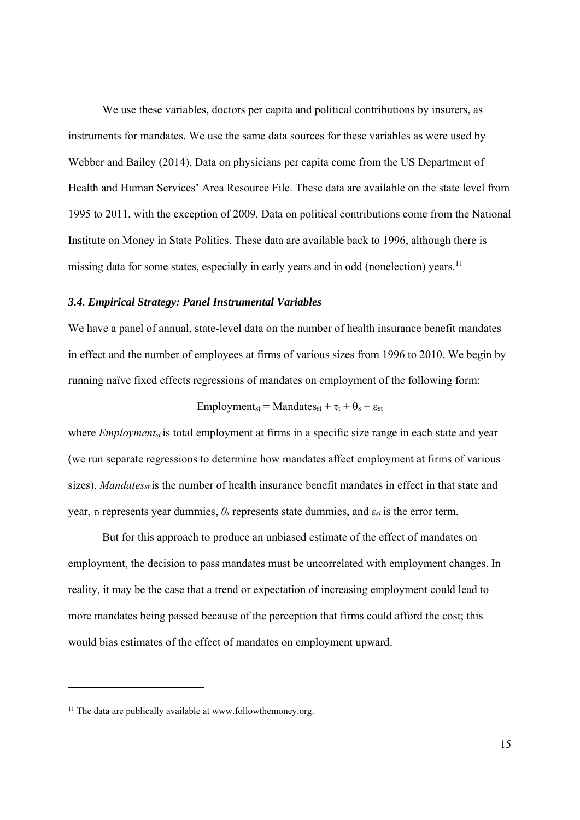We use these variables, doctors per capita and political contributions by insurers, as instruments for mandates. We use the same data sources for these variables as were used by Webber and Bailey (2014). Data on physicians per capita come from the US Department of Health and Human Services' Area Resource File. These data are available on the state level from 1995 to 2011, with the exception of 2009. Data on political contributions come from the National Institute on Money in State Politics. These data are available back to 1996, although there is missing data for some states, especially in early years and in odd (nonelection) years.<sup>11</sup>

#### *3.4. Empirical Strategy: Panel Instrumental Variables*

We have a panel of annual, state-level data on the number of health insurance benefit mandates in effect and the number of employees at firms of various sizes from 1996 to 2010. We begin by running naïve fixed effects regressions of mandates on employment of the following form:

$$
Employments_t = Mandates_{st} + \tau_t + \theta_s + \epsilon_{st}
$$

where *Employment<sub>st</sub>* is total employment at firms in a specific size range in each state and year (we run separate regressions to determine how mandates affect employment at firms of various sizes), *Mandates<sub>st</sub>* is the number of health insurance benefit mandates in effect in that state and year, *τt* represents year dummies, *θs* represents state dummies, and *εst* is the error term.

But for this approach to produce an unbiased estimate of the effect of mandates on employment, the decision to pass mandates must be uncorrelated with employment changes. In reality, it may be the case that a trend or expectation of increasing employment could lead to more mandates being passed because of the perception that firms could afford the cost; this would bias estimates of the effect of mandates on employment upward.

 $11$  The data are publically available at www.followthemoney.org.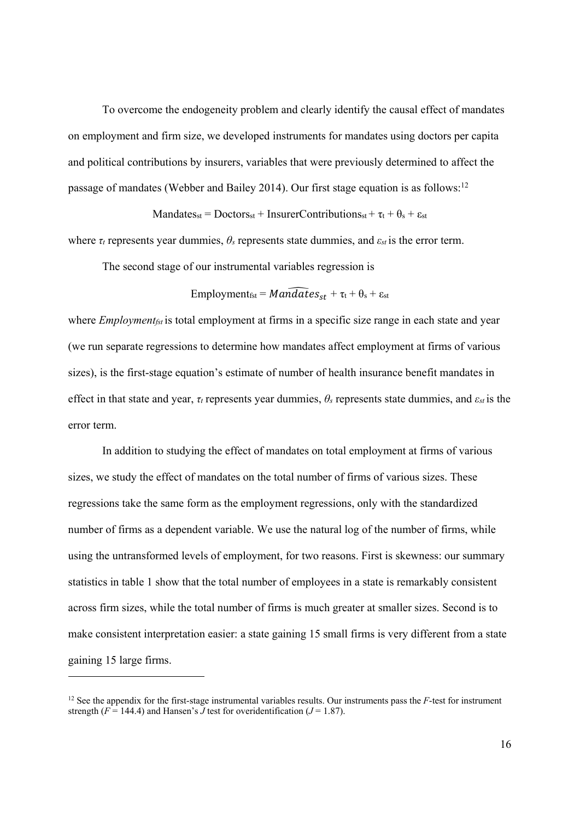To overcome the endogeneity problem and clearly identify the causal effect of mandates on employment and firm size, we developed instruments for mandates using doctors per capita and political contributions by insurers, variables that were previously determined to affect the passage of mandates (Webber and Bailey 2014). Our first stage equation is as follows:<sup>12</sup>

Mandatesst = Doctorsst + InsurerContributionsst +  $\tau_t$  +  $\theta_s$  +  $\varepsilon_{st}$ 

where  $\tau_t$  represents year dummies,  $\theta_s$  represents state dummies, and  $\varepsilon_{st}$  is the error term.

The second stage of our instrumental variables regression is

$$
Employmentsst = \widehat{Mandates}_{st} + \tau_t + \theta_s + \epsilon_{st}
$$

where *Employment<sub>fst</sub>* is total employment at firms in a specific size range in each state and year (we run separate regressions to determine how mandates affect employment at firms of various sizes), is the first-stage equation's estimate of number of health insurance benefit mandates in effect in that state and year, *τt* represents year dummies, *θs* represents state dummies, and *εst* is the error term.

In addition to studying the effect of mandates on total employment at firms of various sizes, we study the effect of mandates on the total number of firms of various sizes. These regressions take the same form as the employment regressions, only with the standardized number of firms as a dependent variable. We use the natural log of the number of firms, while using the untransformed levels of employment, for two reasons. First is skewness: our summary statistics in table 1 show that the total number of employees in a state is remarkably consistent across firm sizes, while the total number of firms is much greater at smaller sizes. Second is to make consistent interpretation easier: a state gaining 15 small firms is very different from a state gaining 15 large firms.

<sup>&</sup>lt;sup>12</sup> See the appendix for the first-stage instrumental variables results. Our instruments pass the *F*-test for instrument strength ( $F = 144.4$ ) and Hansen's *J* test for overidentification ( $J = 1.87$ ).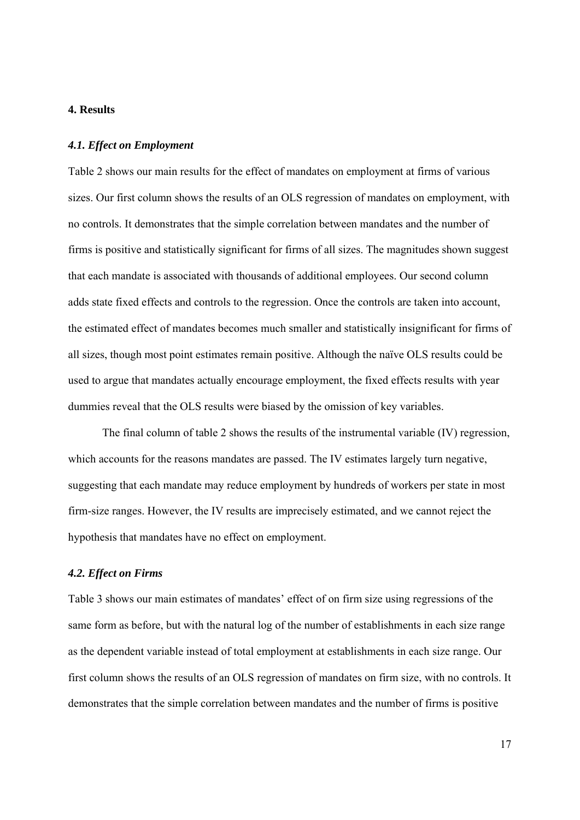#### **4. Results**

#### *4.1. Effect on Employment*

Table 2 shows our main results for the effect of mandates on employment at firms of various sizes. Our first column shows the results of an OLS regression of mandates on employment, with no controls. It demonstrates that the simple correlation between mandates and the number of firms is positive and statistically significant for firms of all sizes. The magnitudes shown suggest that each mandate is associated with thousands of additional employees. Our second column adds state fixed effects and controls to the regression. Once the controls are taken into account, the estimated effect of mandates becomes much smaller and statistically insignificant for firms of all sizes, though most point estimates remain positive. Although the naïve OLS results could be used to argue that mandates actually encourage employment, the fixed effects results with year dummies reveal that the OLS results were biased by the omission of key variables.

The final column of table 2 shows the results of the instrumental variable (IV) regression, which accounts for the reasons mandates are passed. The IV estimates largely turn negative, suggesting that each mandate may reduce employment by hundreds of workers per state in most firm-size ranges. However, the IV results are imprecisely estimated, and we cannot reject the hypothesis that mandates have no effect on employment.

#### *4.2. Effect on Firms*

Table 3 shows our main estimates of mandates' effect of on firm size using regressions of the same form as before, but with the natural log of the number of establishments in each size range as the dependent variable instead of total employment at establishments in each size range. Our first column shows the results of an OLS regression of mandates on firm size, with no controls. It demonstrates that the simple correlation between mandates and the number of firms is positive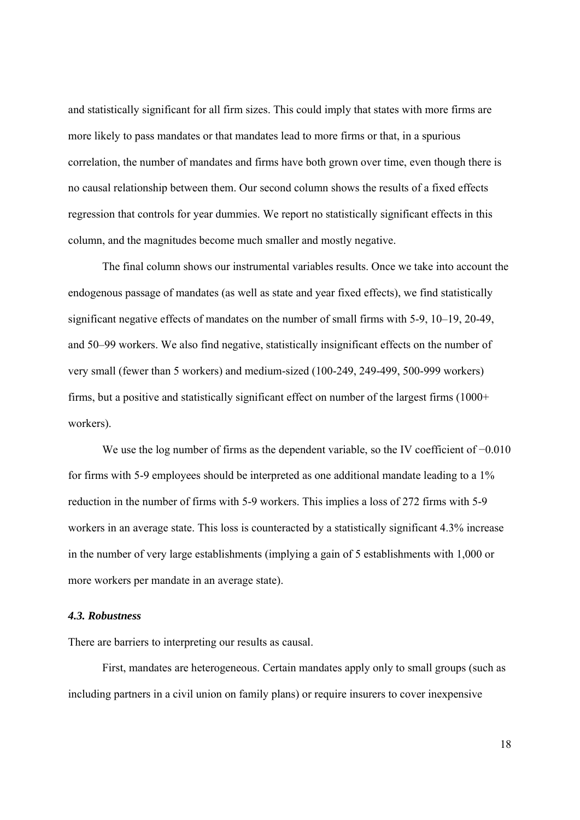and statistically significant for all firm sizes. This could imply that states with more firms are more likely to pass mandates or that mandates lead to more firms or that, in a spurious correlation, the number of mandates and firms have both grown over time, even though there is no causal relationship between them. Our second column shows the results of a fixed effects regression that controls for year dummies. We report no statistically significant effects in this column, and the magnitudes become much smaller and mostly negative.

The final column shows our instrumental variables results. Once we take into account the endogenous passage of mandates (as well as state and year fixed effects), we find statistically significant negative effects of mandates on the number of small firms with 5-9, 10–19, 20-49, and 50–99 workers. We also find negative, statistically insignificant effects on the number of very small (fewer than 5 workers) and medium-sized (100-249, 249-499, 500-999 workers) firms, but a positive and statistically significant effect on number of the largest firms (1000+ workers).

We use the log number of firms as the dependent variable, so the IV coefficient of −0.010 for firms with 5-9 employees should be interpreted as one additional mandate leading to a 1% reduction in the number of firms with 5-9 workers. This implies a loss of 272 firms with 5-9 workers in an average state. This loss is counteracted by a statistically significant 4.3% increase in the number of very large establishments (implying a gain of 5 establishments with 1,000 or more workers per mandate in an average state).

#### *4.3. Robustness*

There are barriers to interpreting our results as causal.

First, mandates are heterogeneous. Certain mandates apply only to small groups (such as including partners in a civil union on family plans) or require insurers to cover inexpensive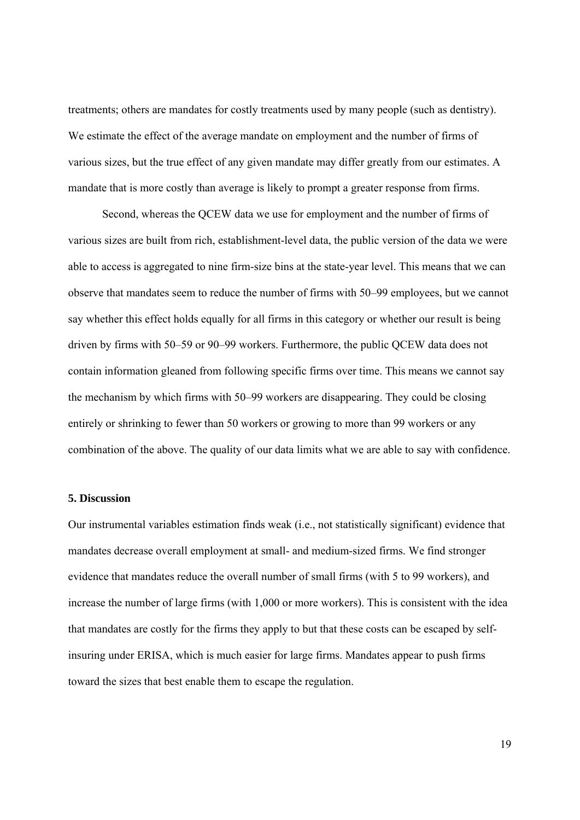treatments; others are mandates for costly treatments used by many people (such as dentistry). We estimate the effect of the average mandate on employment and the number of firms of various sizes, but the true effect of any given mandate may differ greatly from our estimates. A mandate that is more costly than average is likely to prompt a greater response from firms.

Second, whereas the QCEW data we use for employment and the number of firms of various sizes are built from rich, establishment-level data, the public version of the data we were able to access is aggregated to nine firm-size bins at the state-year level. This means that we can observe that mandates seem to reduce the number of firms with 50–99 employees, but we cannot say whether this effect holds equally for all firms in this category or whether our result is being driven by firms with 50–59 or 90–99 workers. Furthermore, the public QCEW data does not contain information gleaned from following specific firms over time. This means we cannot say the mechanism by which firms with 50–99 workers are disappearing. They could be closing entirely or shrinking to fewer than 50 workers or growing to more than 99 workers or any combination of the above. The quality of our data limits what we are able to say with confidence.

#### **5. Discussion**

Our instrumental variables estimation finds weak (i.e., not statistically significant) evidence that mandates decrease overall employment at small- and medium-sized firms. We find stronger evidence that mandates reduce the overall number of small firms (with 5 to 99 workers), and increase the number of large firms (with 1,000 or more workers). This is consistent with the idea that mandates are costly for the firms they apply to but that these costs can be escaped by selfinsuring under ERISA, which is much easier for large firms. Mandates appear to push firms toward the sizes that best enable them to escape the regulation.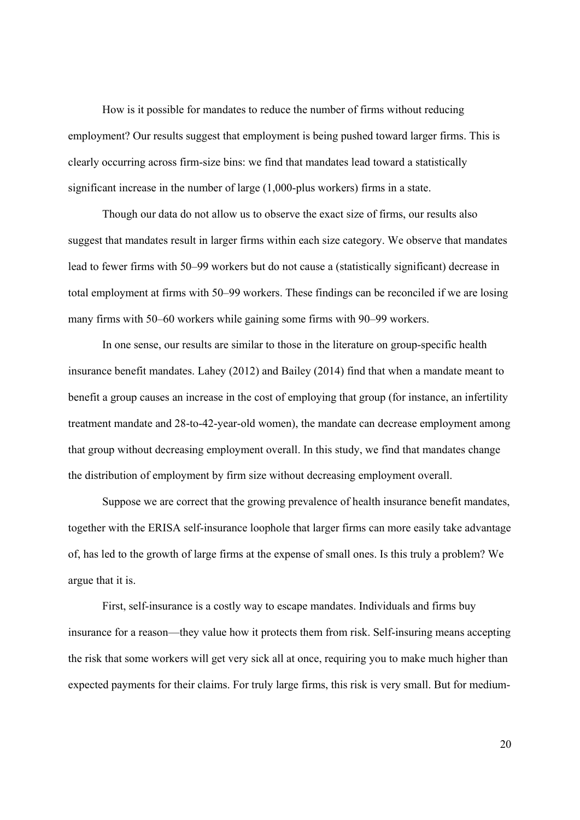How is it possible for mandates to reduce the number of firms without reducing employment? Our results suggest that employment is being pushed toward larger firms. This is clearly occurring across firm-size bins: we find that mandates lead toward a statistically significant increase in the number of large (1,000-plus workers) firms in a state.

Though our data do not allow us to observe the exact size of firms, our results also suggest that mandates result in larger firms within each size category. We observe that mandates lead to fewer firms with 50–99 workers but do not cause a (statistically significant) decrease in total employment at firms with 50–99 workers. These findings can be reconciled if we are losing many firms with 50–60 workers while gaining some firms with 90–99 workers.

In one sense, our results are similar to those in the literature on group-specific health insurance benefit mandates. Lahey (2012) and Bailey (2014) find that when a mandate meant to benefit a group causes an increase in the cost of employing that group (for instance, an infertility treatment mandate and 28-to-42-year-old women), the mandate can decrease employment among that group without decreasing employment overall. In this study, we find that mandates change the distribution of employment by firm size without decreasing employment overall.

Suppose we are correct that the growing prevalence of health insurance benefit mandates, together with the ERISA self-insurance loophole that larger firms can more easily take advantage of, has led to the growth of large firms at the expense of small ones. Is this truly a problem? We argue that it is.

First, self-insurance is a costly way to escape mandates. Individuals and firms buy insurance for a reason—they value how it protects them from risk. Self-insuring means accepting the risk that some workers will get very sick all at once, requiring you to make much higher than expected payments for their claims. For truly large firms, this risk is very small. But for medium-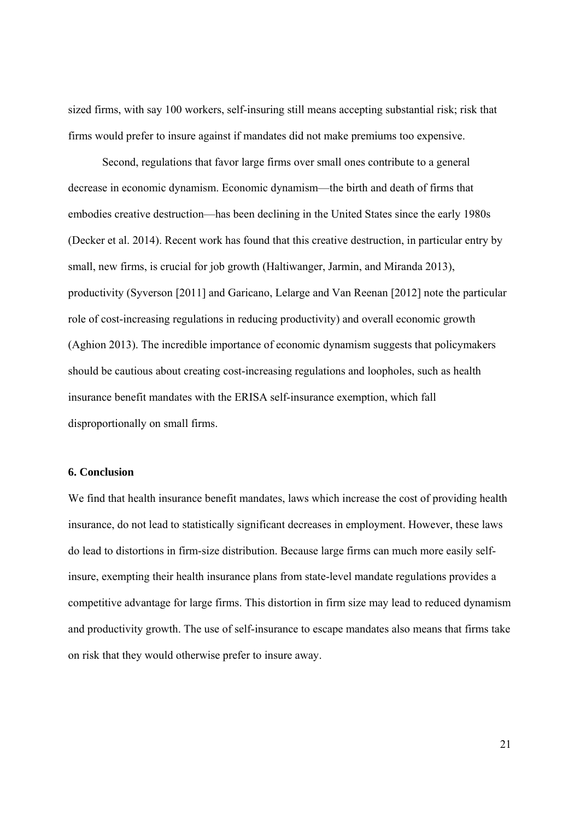sized firms, with say 100 workers, self-insuring still means accepting substantial risk; risk that firms would prefer to insure against if mandates did not make premiums too expensive.

Second, regulations that favor large firms over small ones contribute to a general decrease in economic dynamism. Economic dynamism—the birth and death of firms that embodies creative destruction—has been declining in the United States since the early 1980s (Decker et al. 2014). Recent work has found that this creative destruction, in particular entry by small, new firms, is crucial for job growth (Haltiwanger, Jarmin, and Miranda 2013), productivity (Syverson [2011] and Garicano, Lelarge and Van Reenan [2012] note the particular role of cost-increasing regulations in reducing productivity) and overall economic growth (Aghion 2013). The incredible importance of economic dynamism suggests that policymakers should be cautious about creating cost-increasing regulations and loopholes, such as health insurance benefit mandates with the ERISA self-insurance exemption, which fall disproportionally on small firms.

#### **6. Conclusion**

We find that health insurance benefit mandates, laws which increase the cost of providing health insurance, do not lead to statistically significant decreases in employment. However, these laws do lead to distortions in firm-size distribution. Because large firms can much more easily selfinsure, exempting their health insurance plans from state-level mandate regulations provides a competitive advantage for large firms. This distortion in firm size may lead to reduced dynamism and productivity growth. The use of self-insurance to escape mandates also means that firms take on risk that they would otherwise prefer to insure away.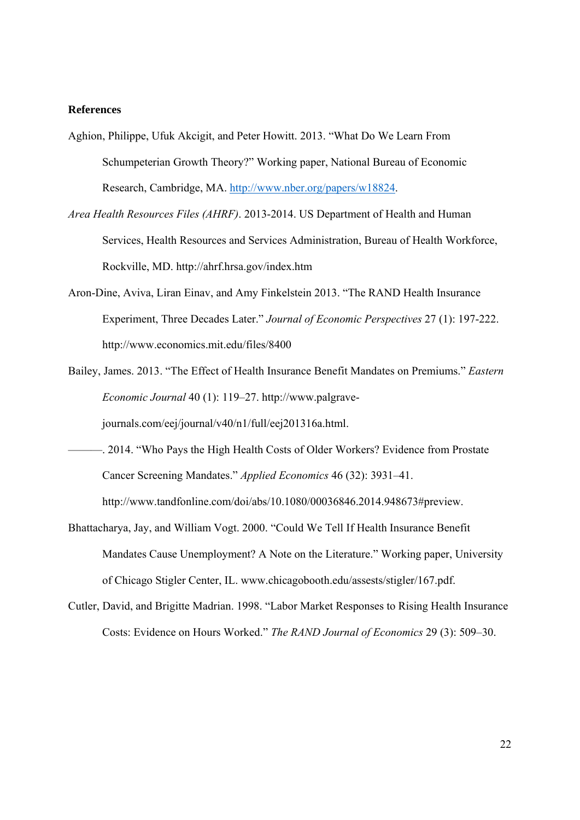#### **References**

- Aghion, Philippe, Ufuk Akcigit, and Peter Howitt. 2013. "What Do We Learn From Schumpeterian Growth Theory?" Working paper, National Bureau of Economic Research, Cambridge, MA. http://www.nber.org/papers/w18824.
- *Area Health Resources Files (AHRF)*. 2013-2014. US Department of Health and Human Services, Health Resources and Services Administration, Bureau of Health Workforce, Rockville, MD. http://ahrf.hrsa.gov/index.htm
- Aron-Dine, Aviva, Liran Einav, and Amy Finkelstein 2013. "The RAND Health Insurance Experiment, Three Decades Later." *Journal of Economic Perspectives* 27 (1): 197-222. http://www.economics.mit.edu/files/8400
- Bailey, James. 2013. "The Effect of Health Insurance Benefit Mandates on Premiums." *Eastern Economic Journal* 40 (1): 119–27. http://www.palgrave-

journals.com/eej/journal/v40/n1/full/eej201316a.html.

- ———. 2014. "Who Pays the High Health Costs of Older Workers? Evidence from Prostate Cancer Screening Mandates." *Applied Economics* 46 (32): 3931–41. http://www.tandfonline.com/doi/abs/10.1080/00036846.2014.948673#preview.
- Bhattacharya, Jay, and William Vogt. 2000. "Could We Tell If Health Insurance Benefit Mandates Cause Unemployment? A Note on the Literature." Working paper, University of Chicago Stigler Center, IL. www.chicagobooth.edu/assests/stigler/167.pdf.
- Cutler, David, and Brigitte Madrian. 1998. "Labor Market Responses to Rising Health Insurance Costs: Evidence on Hours Worked." *The RAND Journal of Economics* 29 (3): 509–30.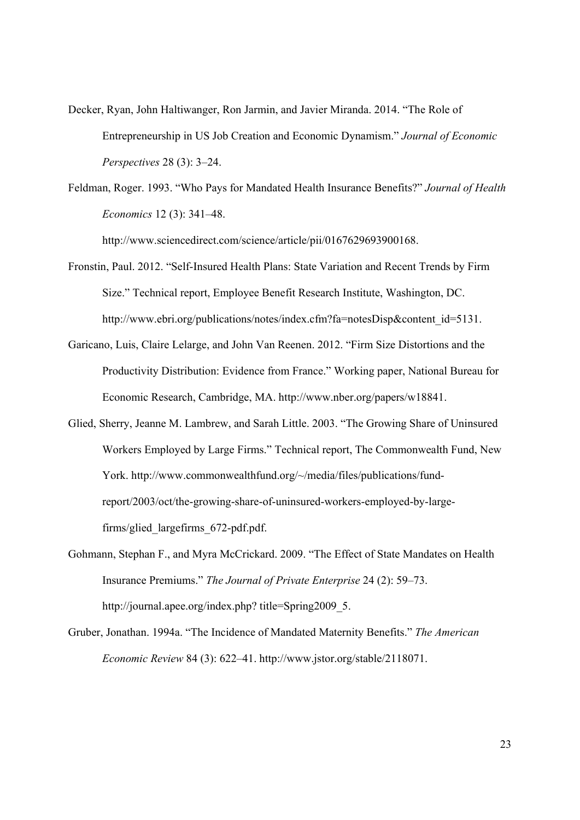- Decker, Ryan, John Haltiwanger, Ron Jarmin, and Javier Miranda. 2014. "The Role of Entrepreneurship in US Job Creation and Economic Dynamism." *Journal of Economic Perspectives* 28 (3): 3–24.
- Feldman, Roger. 1993. "Who Pays for Mandated Health Insurance Benefits?" *Journal of Health Economics* 12 (3): 341–48.

http://www.sciencedirect.com/science/article/pii/0167629693900168.

- Fronstin, Paul. 2012. "Self-Insured Health Plans: State Variation and Recent Trends by Firm Size." Technical report, Employee Benefit Research Institute, Washington, DC. http://www.ebri.org/publications/notes/index.cfm?fa=notesDisp&content\_id=5131.
- Garicano, Luis, Claire Lelarge, and John Van Reenen. 2012. "Firm Size Distortions and the Productivity Distribution: Evidence from France." Working paper, National Bureau for Economic Research, Cambridge, MA. http://www.nber.org/papers/w18841.
- Glied, Sherry, Jeanne M. Lambrew, and Sarah Little. 2003. "The Growing Share of Uninsured Workers Employed by Large Firms." Technical report, The Commonwealth Fund, New York. http://www.commonwealthfund.org/~/media/files/publications/fundreport/2003/oct/the-growing-share-of-uninsured-workers-employed-by-largefirms/glied\_largefirms\_672-pdf.pdf.
- Gohmann, Stephan F., and Myra McCrickard. 2009. "The Effect of State Mandates on Health Insurance Premiums." *The Journal of Private Enterprise* 24 (2): 59–73. http://journal.apee.org/index.php? title=Spring2009\_5.
- Gruber, Jonathan. 1994a. "The Incidence of Mandated Maternity Benefits." *The American Economic Review* 84 (3): 622–41. http://www.jstor.org/stable/2118071.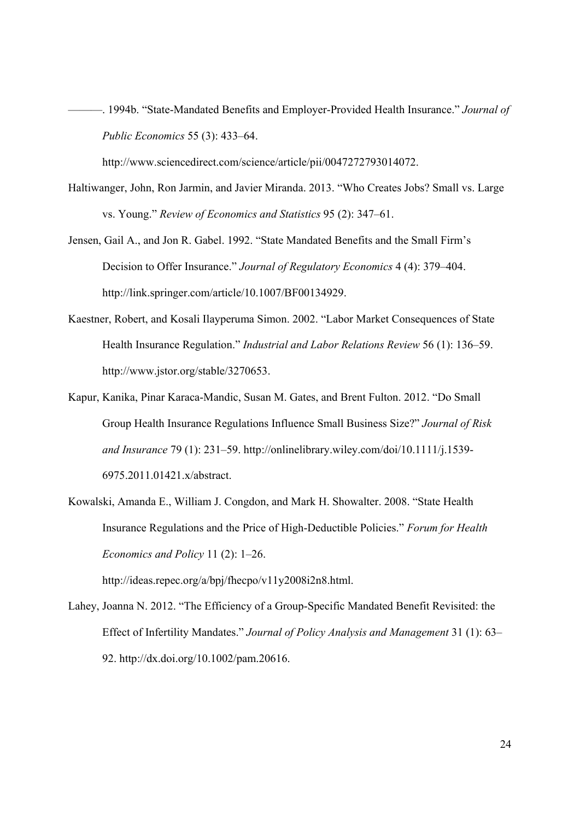———. 1994b. "State-Mandated Benefits and Employer-Provided Health Insurance." *Journal of Public Economics* 55 (3): 433–64.

http://www.sciencedirect.com/science/article/pii/0047272793014072.

- Haltiwanger, John, Ron Jarmin, and Javier Miranda. 2013. "Who Creates Jobs? Small vs. Large vs. Young." *Review of Economics and Statistics* 95 (2): 347–61.
- Jensen, Gail A., and Jon R. Gabel. 1992. "State Mandated Benefits and the Small Firm's Decision to Offer Insurance." *Journal of Regulatory Economics* 4 (4): 379–404. http://link.springer.com/article/10.1007/BF00134929.
- Kaestner, Robert, and Kosali Ilayperuma Simon. 2002. "Labor Market Consequences of State Health Insurance Regulation." *Industrial and Labor Relations Review* 56 (1): 136–59. http://www.jstor.org/stable/3270653.
- Kapur, Kanika, Pinar Karaca-Mandic, Susan M. Gates, and Brent Fulton. 2012. "Do Small Group Health Insurance Regulations Influence Small Business Size?" *Journal of Risk and Insurance* 79 (1): 231–59. http://onlinelibrary.wiley.com/doi/10.1111/j.1539- 6975.2011.01421.x/abstract.
- Kowalski, Amanda E., William J. Congdon, and Mark H. Showalter. 2008. "State Health Insurance Regulations and the Price of High-Deductible Policies." *Forum for Health Economics and Policy* 11 (2): 1–26.

http://ideas.repec.org/a/bpj/fhecpo/v11y2008i2n8.html.

Lahey, Joanna N. 2012. "The Efficiency of a Group-Specific Mandated Benefit Revisited: the Effect of Infertility Mandates." *Journal of Policy Analysis and Management* 31 (1): 63– 92. http://dx.doi.org/10.1002/pam.20616.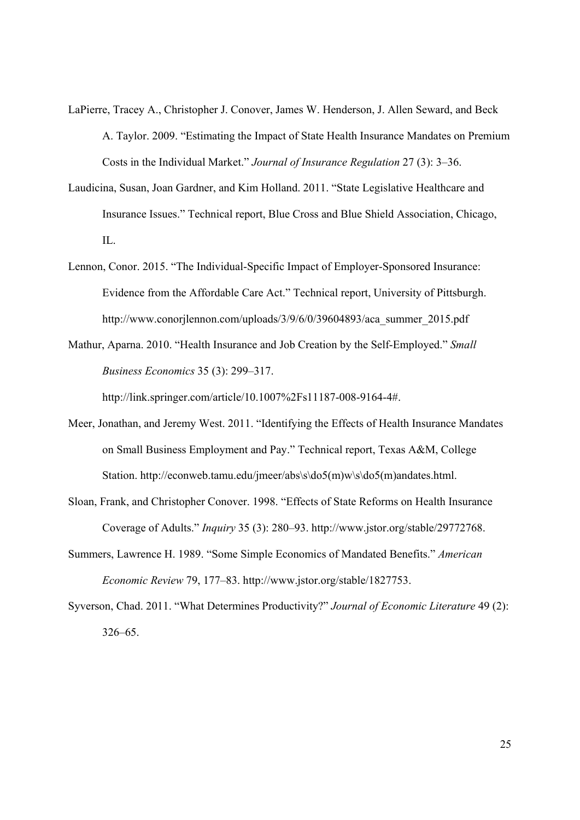- LaPierre, Tracey A., Christopher J. Conover, James W. Henderson, J. Allen Seward, and Beck A. Taylor. 2009. "Estimating the Impact of State Health Insurance Mandates on Premium Costs in the Individual Market." *Journal of Insurance Regulation* 27 (3): 3–36.
- Laudicina, Susan, Joan Gardner, and Kim Holland. 2011. "State Legislative Healthcare and Insurance Issues." Technical report, Blue Cross and Blue Shield Association, Chicago, IL.
- Lennon, Conor. 2015. "The Individual-Specific Impact of Employer-Sponsored Insurance: Evidence from the Affordable Care Act." Technical report, University of Pittsburgh. http://www.conorjlennon.com/uploads/3/9/6/0/39604893/aca\_summer\_2015.pdf
- Mathur, Aparna. 2010. "Health Insurance and Job Creation by the Self-Employed." *Small Business Economics* 35 (3): 299–317.

http://link.springer.com/article/10.1007%2Fs11187-008-9164-4#.

- Meer, Jonathan, and Jeremy West. 2011. "Identifying the Effects of Health Insurance Mandates on Small Business Employment and Pay." Technical report, Texas A&M, College Station. http://econweb.tamu.edu/jmeer/abs\s\do5(m)w\s\do5(m)andates.html.
- Sloan, Frank, and Christopher Conover. 1998. "Effects of State Reforms on Health Insurance Coverage of Adults." *Inquiry* 35 (3): 280–93. http://www.jstor.org/stable/29772768.
- Summers, Lawrence H. 1989. "Some Simple Economics of Mandated Benefits." *American Economic Review* 79, 177–83. http://www.jstor.org/stable/1827753.
- Syverson, Chad. 2011. "What Determines Productivity?" *Journal of Economic Literature* 49 (2): 326–65.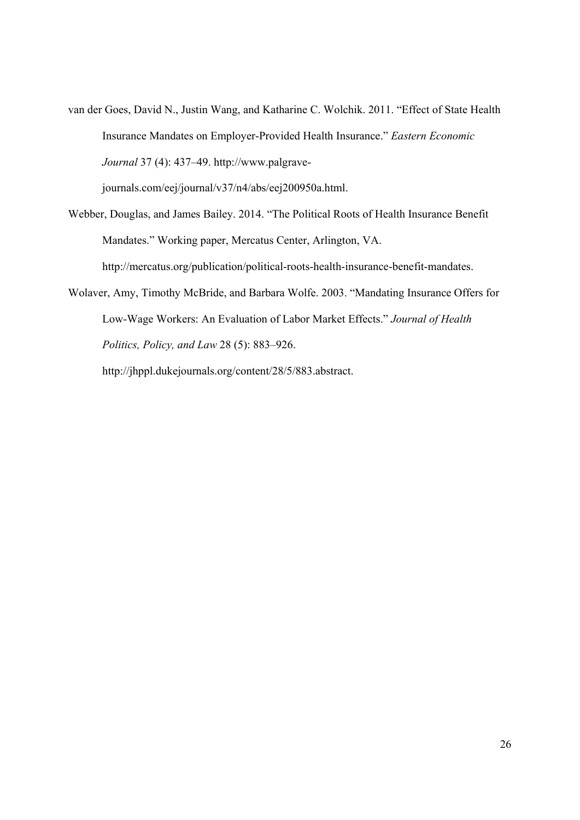van der Goes, David N., Justin Wang, and Katharine C. Wolchik. 2011. "Effect of State Health Insurance Mandates on Employer-Provided Health Insurance." *Eastern Economic Journal* 37 (4): 437–49. http://www.palgrave-

journals.com/eej/journal/v37/n4/abs/eej200950a.html.

- Webber, Douglas, and James Bailey. 2014. "The Political Roots of Health Insurance Benefit Mandates." Working paper, Mercatus Center, Arlington, VA. http://mercatus.org/publication/political-roots-health-insurance-benefit-mandates.
- Wolaver, Amy, Timothy McBride, and Barbara Wolfe. 2003. "Mandating Insurance Offers for Low-Wage Workers: An Evaluation of Labor Market Effects." *Journal of Health Politics, Policy, and Law* 28 (5): 883–926.

http://jhppl.dukejournals.org/content/28/5/883.abstract.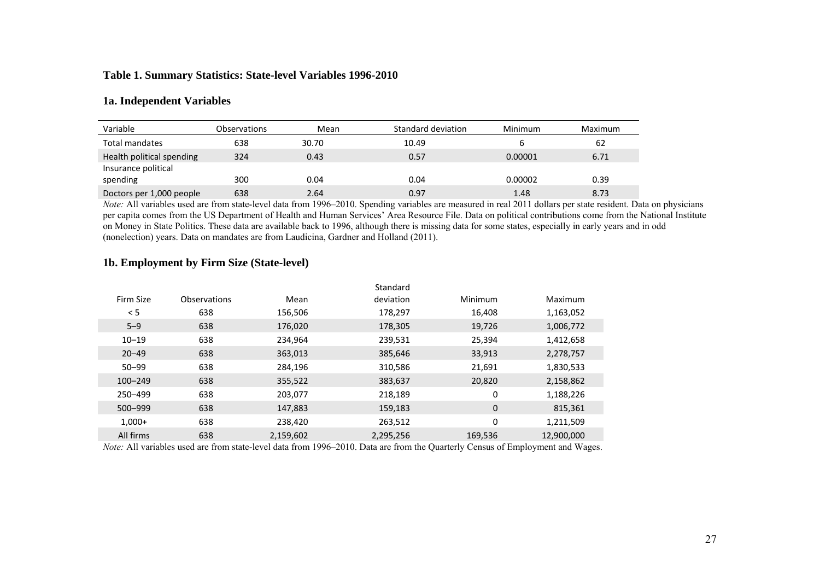#### **Table 1. Summary Statistics: State-level Variables 1996-2010**

#### **1a. Independent Variables**

| Variable                  | Observations | Mean  | Standard deviation | <b>Minimum</b> | Maximum |
|---------------------------|--------------|-------|--------------------|----------------|---------|
| Total mandates            | 638          | 30.70 | 10.49              |                | 62      |
| Health political spending | 324          | 0.43  | 0.57               | 0.00001        | 6.71    |
| Insurance political       |              |       |                    |                |         |
| spending                  | 300          | 0.04  | 0.04               | 0.00002        | 0.39    |
| Doctors per 1,000 people  | 638          | 2.64  | 0.97               | 1.48           | 8.73    |

*Note:* All variables used are from state-level data from 1996–2010. Spending variables are measured in real 2011 dollars per state resident. Data on physicians per capita comes from the US Department of Health and Human Services' Area Resource File. Data on political contributions come from the National Institute on Money in State Politics. These data are available back to 1996, although there is missing data for some states, especially in early years and in odd (nonelection) years. Data on mandates are from Laudicina, Gardner and Holland (2011).

|             |                     |           | Standard  |             |            |
|-------------|---------------------|-----------|-----------|-------------|------------|
| Firm Size   | <b>Observations</b> | Mean      | deviation | Minimum     | Maximum    |
| < 5         | 638                 | 156,506   | 178,297   | 16,408      | 1,163,052  |
| $5 - 9$     | 638                 | 176,020   | 178,305   | 19,726      | 1,006,772  |
| $10 - 19$   | 638                 | 234,964   | 239,531   | 25,394      | 1,412,658  |
| $20 - 49$   | 638                 | 363,013   | 385,646   | 33,913      | 2,278,757  |
| $50 - 99$   | 638                 | 284.196   | 310,586   | 21,691      | 1,830,533  |
| $100 - 249$ | 638                 | 355,522   | 383,637   | 20,820      | 2,158,862  |
| 250-499     | 638                 | 203,077   | 218,189   | 0           | 1,188,226  |
| 500-999     | 638                 | 147,883   | 159,183   | $\mathbf 0$ | 815,361    |
| $1,000+$    | 638                 | 238.420   | 263,512   | 0           | 1,211,509  |
| All firms   | 638                 | 2,159,602 | 2,295,256 | 169,536     | 12,900,000 |

#### **1b. Employment by Firm Size (State-level)**

*Note:* All variables used are from state-level data from 1996–2010. Data are from the Quarterly Census of Employment and Wages.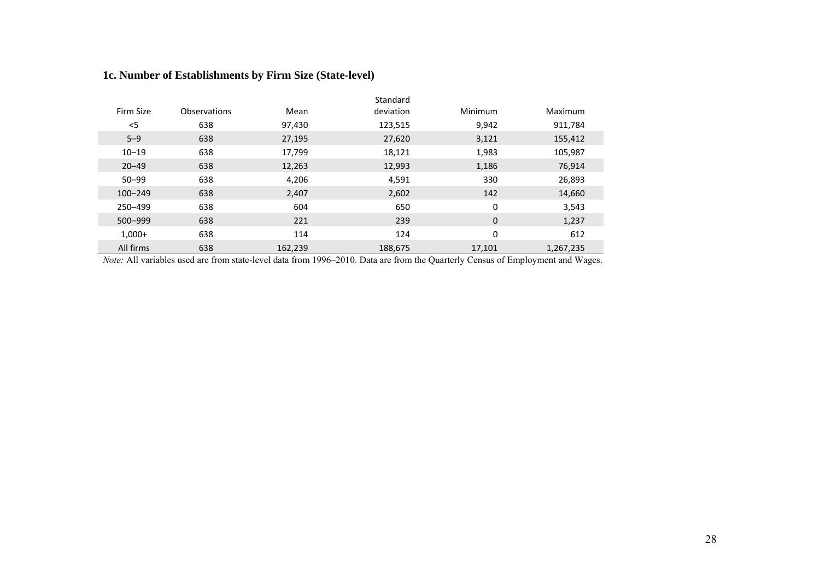### **1c. Number of Establishments by Firm Size (State-level)**

|             |              |         | Standard  |         |           |  |
|-------------|--------------|---------|-----------|---------|-----------|--|
| Firm Size   | Observations | Mean    | deviation | Minimum | Maximum   |  |
| $<$ 5       | 638          | 97,430  | 123,515   | 9,942   | 911,784   |  |
| $5 - 9$     | 638          | 27,195  | 27,620    | 3,121   | 155,412   |  |
| $10 - 19$   | 638          | 17,799  | 18,121    | 1,983   | 105,987   |  |
| $20 - 49$   | 638          | 12,263  | 12,993    | 1,186   | 76,914    |  |
| $50 - 99$   | 638          | 4,206   | 4,591     | 330     | 26,893    |  |
| $100 - 249$ | 638          | 2,407   | 2,602     | 142     | 14,660    |  |
| 250-499     | 638          | 604     | 650       | 0       | 3,543     |  |
| 500-999     | 638          | 221     | 239       | 0       | 1,237     |  |
| $1.000+$    | 638          | 114     | 124       | 0       | 612       |  |
| All firms   | 638          | 162,239 | 188,675   | 17,101  | 1,267,235 |  |

*Note:* All variables used are from state-level data from 1996–2010. Data are from the Quarterly Census of Employment and Wages.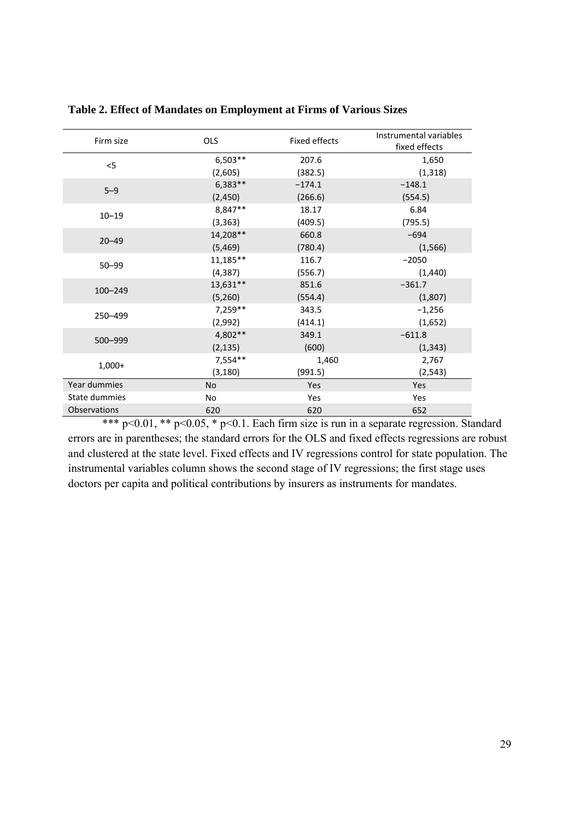| Firm size     | <b>OLS</b> | <b>Fixed effects</b> | Instrumental variables |
|---------------|------------|----------------------|------------------------|
|               |            |                      | fixed effects          |
| < 5           | $6,503**$  | 207.6                | 1,650                  |
|               | (2,605)    | (382.5)              | (1, 318)               |
| $5 - 9$       | $6,383**$  | $-174.1$             | $-148.1$               |
|               | (2,450)    | (266.6)              | (554.5)                |
| $10 - 19$     | 8,847**    | 18.17                | 6.84                   |
|               | (3, 363)   | (409.5)              | (795.5)                |
| $20 - 49$     | 14,208**   | 660.8                | $-694$                 |
|               | (5,469)    | (780.4)              | (1, 566)               |
|               | 11,185**   | 116.7                | $-2050$                |
| $50 - 99$     | (4, 387)   | (556.7)              | (1,440)                |
| $100 - 249$   | 13,631**   | 851.6                | $-361.7$               |
|               | (5,260)    | (554.4)              | (1,807)                |
| 250-499       | 7,259**    | 343.5                | $-1,256$               |
|               | (2,992)    | (414.1)              | (1,652)                |
| 500-999       | 4,802**    | 349.1                | $-611.8$               |
|               | (2, 135)   | (600)                | (1, 343)               |
| $1,000+$      | 7,554**    | 1,460                | 2,767                  |
|               | (3, 180)   | (991.5)              | (2, 543)               |
| Year dummies  | <b>No</b>  | Yes                  | Yes                    |
| State dummies | <b>No</b>  | Yes                  | Yes                    |
| Observations  | 620        | 620                  | 652                    |

**Table 2. Effect of Mandates on Employment at Firms of Various Sizes** 

\*\*\* p<0.01, \*\* p<0.05, \* p<0.1. Each firm size is run in a separate regression. Standard errors are in parentheses; the standard errors for the OLS and fixed effects regressions are robust and clustered at the state level. Fixed effects and IV regressions control for state population. The instrumental variables column shows the second stage of IV regressions; the first stage uses doctors per capita and political contributions by insurers as instruments for mandates.